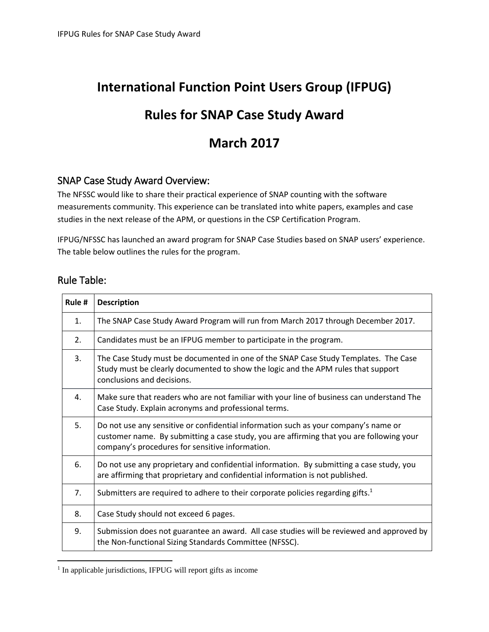# **International Function Point Users Group (IFPUG)**

## **Rules for SNAP Case Study Award**

### **March 2017**

### SNAP Case Study Award Overview:

The NFSSC would like to share their practical experience of SNAP counting with the software measurements community. This experience can be translated into white papers, examples and case studies in the next release of the APM, or questions in the CSP Certification Program.

IFPUG/NFSSC has launched an award program for SNAP Case Studies based on SNAP users' experience. The table below outlines the rules for the program.

### Rule Table:

 $\overline{a}$ 

| Rule #         | <b>Description</b>                                                                                                                                                                                                                 |
|----------------|------------------------------------------------------------------------------------------------------------------------------------------------------------------------------------------------------------------------------------|
| 1.             | The SNAP Case Study Award Program will run from March 2017 through December 2017.                                                                                                                                                  |
| 2.             | Candidates must be an IFPUG member to participate in the program.                                                                                                                                                                  |
| 3.             | The Case Study must be documented in one of the SNAP Case Study Templates. The Case<br>Study must be clearly documented to show the logic and the APM rules that support<br>conclusions and decisions.                             |
| 4.             | Make sure that readers who are not familiar with your line of business can understand The<br>Case Study. Explain acronyms and professional terms.                                                                                  |
| 5.             | Do not use any sensitive or confidential information such as your company's name or<br>customer name. By submitting a case study, you are affirming that you are following your<br>company's procedures for sensitive information. |
| 6.             | Do not use any proprietary and confidential information. By submitting a case study, you<br>are affirming that proprietary and confidential information is not published.                                                          |
| 7 <sub>1</sub> | Submitters are required to adhere to their corporate policies regarding gifts. $1$                                                                                                                                                 |
| 8.             | Case Study should not exceed 6 pages.                                                                                                                                                                                              |
| 9.             | Submission does not guarantee an award. All case studies will be reviewed and approved by<br>the Non-functional Sizing Standards Committee (NFSSC).                                                                                |

<sup>&</sup>lt;sup>1</sup> In applicable jurisdictions, IFPUG will report gifts as income